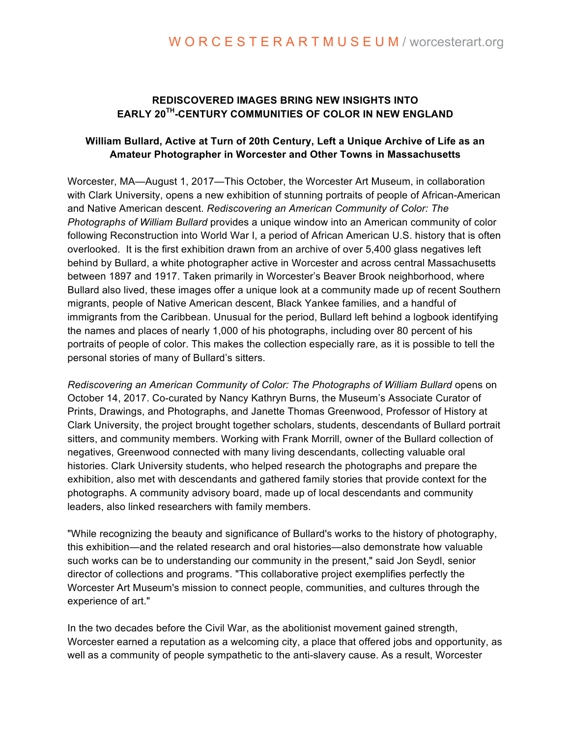## **REDISCOVERED IMAGES BRING NEW INSIGHTS INTO EARLY 20TH-CENTURY COMMUNITIES OF COLOR IN NEW ENGLAND**

## **William Bullard, Active at Turn of 20th Century, Left a Unique Archive of Life as an Amateur Photographer in Worcester and Other Towns in Massachusetts**

Worcester, MA—August 1, 2017—This October, the Worcester Art Museum, in collaboration with Clark University, opens a new exhibition of stunning portraits of people of African-American and Native American descent. *Rediscovering an American Community of Color: The Photographs of William Bullard* provides a unique window into an American community of color following Reconstruction into World War I, a period of African American U.S. history that is often overlooked. It is the first exhibition drawn from an archive of over 5,400 glass negatives left behind by Bullard, a white photographer active in Worcester and across central Massachusetts between 1897 and 1917. Taken primarily in Worcester's Beaver Brook neighborhood, where Bullard also lived, these images offer a unique look at a community made up of recent Southern migrants, people of Native American descent, Black Yankee families, and a handful of immigrants from the Caribbean. Unusual for the period, Bullard left behind a logbook identifying the names and places of nearly 1,000 of his photographs, including over 80 percent of his portraits of people of color. This makes the collection especially rare, as it is possible to tell the personal stories of many of Bullard's sitters.

*Rediscovering an American Community of Color: The Photographs of William Bullard* opens on October 14, 2017. Co-curated by Nancy Kathryn Burns, the Museum's Associate Curator of Prints, Drawings, and Photographs, and Janette Thomas Greenwood, Professor of History at Clark University, the project brought together scholars, students, descendants of Bullard portrait sitters, and community members. Working with Frank Morrill, owner of the Bullard collection of negatives, Greenwood connected with many living descendants, collecting valuable oral histories. Clark University students, who helped research the photographs and prepare the exhibition, also met with descendants and gathered family stories that provide context for the photographs. A community advisory board, made up of local descendants and community leaders, also linked researchers with family members.

"While recognizing the beauty and significance of Bullard's works to the history of photography, this exhibition—and the related research and oral histories—also demonstrate how valuable such works can be to understanding our community in the present," said Jon Seydl, senior director of collections and programs. "This collaborative project exemplifies perfectly the Worcester Art Museum's mission to connect people, communities, and cultures through the experience of art."

In the two decades before the Civil War, as the abolitionist movement gained strength, Worcester earned a reputation as a welcoming city, a place that offered jobs and opportunity, as well as a community of people sympathetic to the anti-slavery cause. As a result, Worcester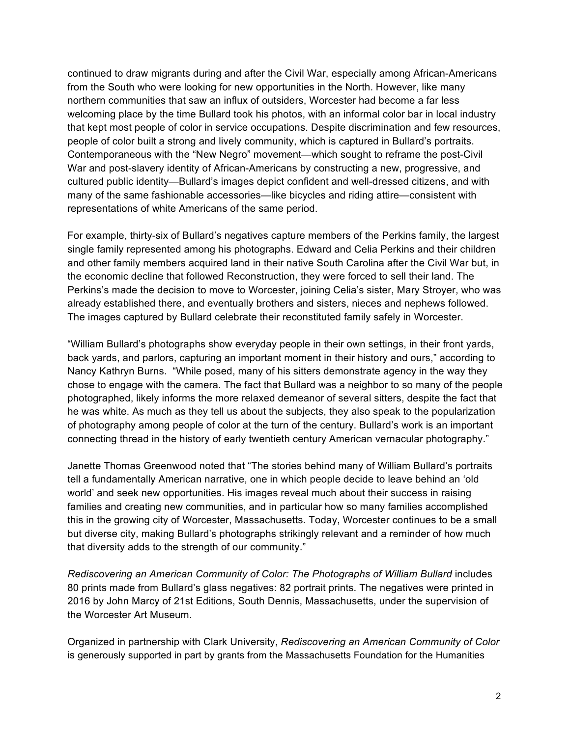continued to draw migrants during and after the Civil War, especially among African-Americans from the South who were looking for new opportunities in the North. However, like many northern communities that saw an influx of outsiders, Worcester had become a far less welcoming place by the time Bullard took his photos, with an informal color bar in local industry that kept most people of color in service occupations. Despite discrimination and few resources, people of color built a strong and lively community, which is captured in Bullard's portraits. Contemporaneous with the "New Negro" movement—which sought to reframe the post-Civil War and post-slavery identity of African-Americans by constructing a new, progressive, and cultured public identity—Bullard's images depict confident and well-dressed citizens, and with many of the same fashionable accessories—like bicycles and riding attire—consistent with representations of white Americans of the same period.

For example, thirty-six of Bullard's negatives capture members of the Perkins family, the largest single family represented among his photographs. Edward and Celia Perkins and their children and other family members acquired land in their native South Carolina after the Civil War but, in the economic decline that followed Reconstruction, they were forced to sell their land. The Perkins's made the decision to move to Worcester, joining Celia's sister, Mary Stroyer, who was already established there, and eventually brothers and sisters, nieces and nephews followed. The images captured by Bullard celebrate their reconstituted family safely in Worcester.

"William Bullard's photographs show everyday people in their own settings, in their front yards, back yards, and parlors, capturing an important moment in their history and ours," according to Nancy Kathryn Burns. "While posed, many of his sitters demonstrate agency in the way they chose to engage with the camera. The fact that Bullard was a neighbor to so many of the people photographed, likely informs the more relaxed demeanor of several sitters, despite the fact that he was white. As much as they tell us about the subjects, they also speak to the popularization of photography among people of color at the turn of the century. Bullard's work is an important connecting thread in the history of early twentieth century American vernacular photography."

Janette Thomas Greenwood noted that "The stories behind many of William Bullard's portraits tell a fundamentally American narrative, one in which people decide to leave behind an 'old world' and seek new opportunities. His images reveal much about their success in raising families and creating new communities, and in particular how so many families accomplished this in the growing city of Worcester, Massachusetts. Today, Worcester continues to be a small but diverse city, making Bullard's photographs strikingly relevant and a reminder of how much that diversity adds to the strength of our community."

*Rediscovering an American Community of Color: The Photographs of William Bullard* includes 80 prints made from Bullard's glass negatives: 82 portrait prints. The negatives were printed in 2016 by John Marcy of 21st Editions, South Dennis, Massachusetts, under the supervision of the Worcester Art Museum.

Organized in partnership with Clark University, *Rediscovering an American Community of Color* is generously supported in part by grants from the Massachusetts Foundation for the Humanities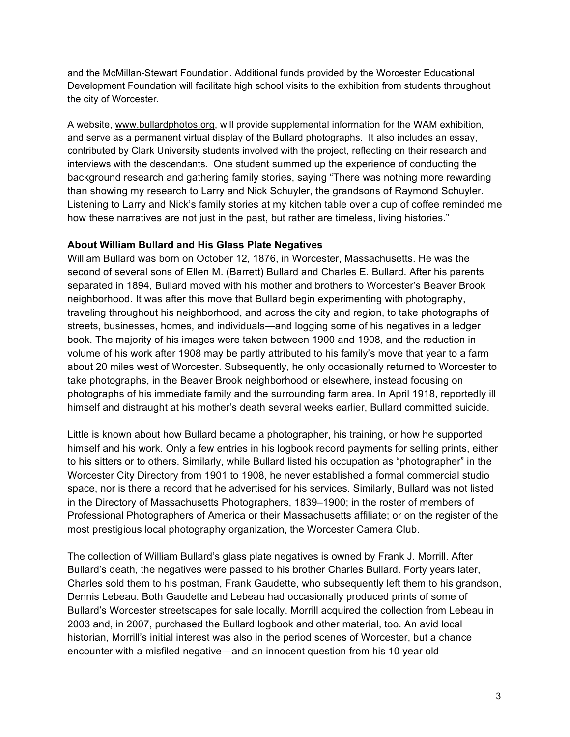and the McMillan-Stewart Foundation. Additional funds provided by the Worcester Educational Development Foundation will facilitate high school visits to the exhibition from students throughout the city of Worcester.

A website, www.bullardphotos.org, will provide supplemental information for the WAM exhibition, and serve as a permanent virtual display of the Bullard photographs. It also includes an essay, contributed by Clark University students involved with the project, reflecting on their research and interviews with the descendants. One student summed up the experience of conducting the background research and gathering family stories, saying "There was nothing more rewarding than showing my research to Larry and Nick Schuyler, the grandsons of Raymond Schuyler. Listening to Larry and Nick's family stories at my kitchen table over a cup of coffee reminded me how these narratives are not just in the past, but rather are timeless, living histories."

## **About William Bullard and His Glass Plate Negatives**

William Bullard was born on October 12, 1876, in Worcester, Massachusetts. He was the second of several sons of Ellen M. (Barrett) Bullard and Charles E. Bullard. After his parents separated in 1894, Bullard moved with his mother and brothers to Worcester's Beaver Brook neighborhood. It was after this move that Bullard begin experimenting with photography, traveling throughout his neighborhood, and across the city and region, to take photographs of streets, businesses, homes, and individuals—and logging some of his negatives in a ledger book. The majority of his images were taken between 1900 and 1908, and the reduction in volume of his work after 1908 may be partly attributed to his family's move that year to a farm about 20 miles west of Worcester. Subsequently, he only occasionally returned to Worcester to take photographs, in the Beaver Brook neighborhood or elsewhere, instead focusing on photographs of his immediate family and the surrounding farm area. In April 1918, reportedly ill himself and distraught at his mother's death several weeks earlier, Bullard committed suicide.

Little is known about how Bullard became a photographer, his training, or how he supported himself and his work. Only a few entries in his logbook record payments for selling prints, either to his sitters or to others. Similarly, while Bullard listed his occupation as "photographer" in the Worcester City Directory from 1901 to 1908, he never established a formal commercial studio space, nor is there a record that he advertised for his services. Similarly, Bullard was not listed in the Directory of Massachusetts Photographers, 1839–1900; in the roster of members of Professional Photographers of America or their Massachusetts affiliate; or on the register of the most prestigious local photography organization, the Worcester Camera Club.

The collection of William Bullard's glass plate negatives is owned by Frank J. Morrill. After Bullard's death, the negatives were passed to his brother Charles Bullard. Forty years later, Charles sold them to his postman, Frank Gaudette, who subsequently left them to his grandson, Dennis Lebeau. Both Gaudette and Lebeau had occasionally produced prints of some of Bullard's Worcester streetscapes for sale locally. Morrill acquired the collection from Lebeau in 2003 and, in 2007, purchased the Bullard logbook and other material, too. An avid local historian, Morrill's initial interest was also in the period scenes of Worcester, but a chance encounter with a misfiled negative—and an innocent question from his 10 year old